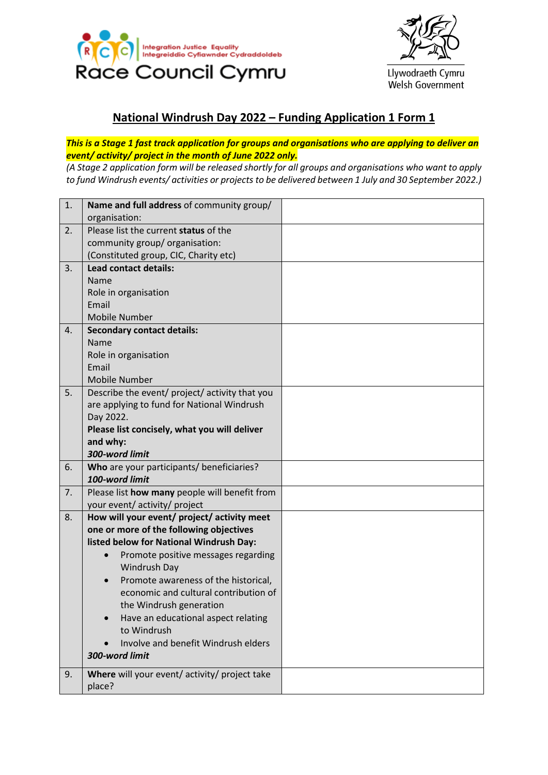



Llywodraeth Cymru Welsh Government

## **National Windrush Day 2022 – Funding Application 1 Form 1**

## *This is a Stage 1 fast track application for groups and organisations who are applying to deliver an event/ activity/ project in the month of June 2022 only.*

*(A Stage 2 application form will be released shortly for all groups and organisations who want to apply to fund Windrush events/ activities or projects to be delivered between 1 July and 30 September 2022.)*

| 1.             | Name and full address of community group/      |  |
|----------------|------------------------------------------------|--|
|                | organisation:                                  |  |
| 2.             | Please list the current status of the          |  |
|                | community group/ organisation:                 |  |
|                | (Constituted group, CIC, Charity etc)          |  |
| 3.             | <b>Lead contact details:</b>                   |  |
|                | Name                                           |  |
|                | Role in organisation                           |  |
|                | Email                                          |  |
|                | Mobile Number                                  |  |
| $\mathbf{4}$ . | <b>Secondary contact details:</b>              |  |
|                | Name                                           |  |
|                | Role in organisation                           |  |
|                | Email                                          |  |
|                | <b>Mobile Number</b>                           |  |
| 5.             | Describe the event/ project/ activity that you |  |
|                | are applying to fund for National Windrush     |  |
|                | Day 2022.                                      |  |
|                | Please list concisely, what you will deliver   |  |
|                | and why:                                       |  |
|                | 300-word limit                                 |  |
| 6.             | Who are your participants/ beneficiaries?      |  |
|                | 100-word limit                                 |  |
| 7.             | Please list how many people will benefit from  |  |
|                | your event/ activity/ project                  |  |
| 8.             | How will your event/ project/ activity meet    |  |
|                | one or more of the following objectives        |  |
|                | listed below for National Windrush Day:        |  |
|                | Promote positive messages regarding            |  |
|                | Windrush Day                                   |  |
|                | Promote awareness of the historical,           |  |
|                | economic and cultural contribution of          |  |
|                | the Windrush generation                        |  |
|                | Have an educational aspect relating            |  |
|                | to Windrush                                    |  |
|                | Involve and benefit Windrush elders            |  |
|                | 300-word limit                                 |  |
| 9.             | Where will your event/ activity/ project take  |  |
|                | place?                                         |  |
|                |                                                |  |